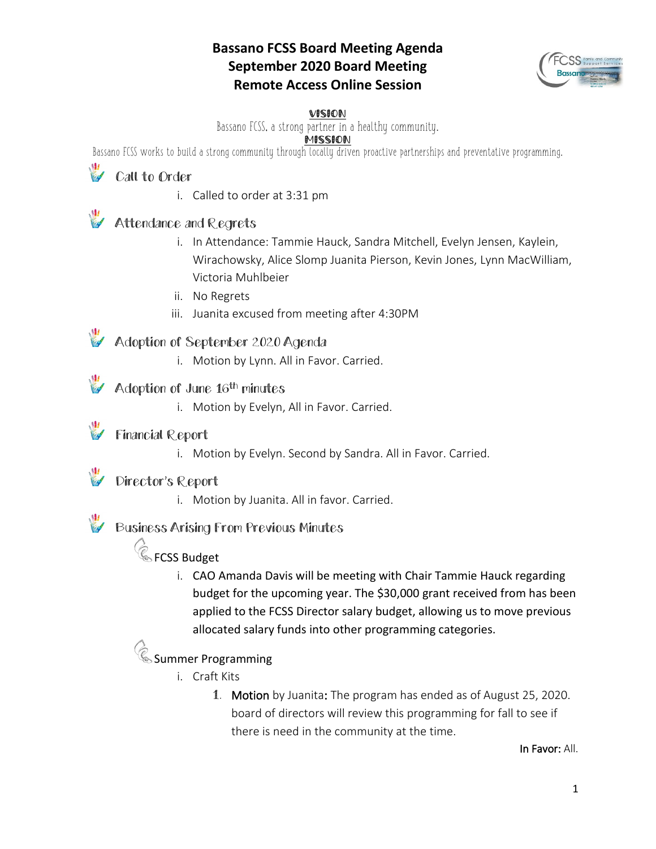### **Bassano FCSS Board Meeting Agenda September 2020 Board Meeting Remote Access Online Session**



#### VISION

Bassano FCSS, a strong partner in a healthy community.

#### **MISSION**

Bassano FCSS works to build a strong community through locally driven proactive partnerships and preventative programming.

# Call to Order

i. Called to order at 3:31 pm

### Attendance and Regrets

- i. In Attendance: Tammie Hauck, Sandra Mitchell, Evelyn Jensen, Kaylein, Wirachowsky, Alice Slomp Juanita Pierson, Kevin Jones, Lynn MacWilliam, Victoria Muhlbeier
- ii. No Regrets
- iii. Juanita excused from meeting after 4:30PM

### Adoption of September 2020 Agenda

i. Motion by Lynn. All in Favor. Carried.

#### Adoption of June 16<sup>th</sup> minutes

i. Motion by Evelyn, All in Favor. Carried.

## **Financial Report**

i. Motion by Evelyn. Second by Sandra. All in Favor. Carried.

# Director's Report

i. Motion by Juanita. All in favor. Carried.

## Business Arising From Previous Minutes

# **Confluence** FCSS Budget

i. CAO Amanda Davis will be meeting with Chair Tammie Hauck regarding budget for the upcoming year. The \$30,000 grant received from has been applied to the FCSS Director salary budget, allowing us to move previous allocated salary funds into other programming categories.

### $\operatorname{\mathscr{C}}$  Summer Programming

- i. Craft Kits
	- 1. Motion by Juanita: The program has ended as of August 25, 2020. board of directors will review this programming for fall to see if there is need in the community at the time.

In Favor: All.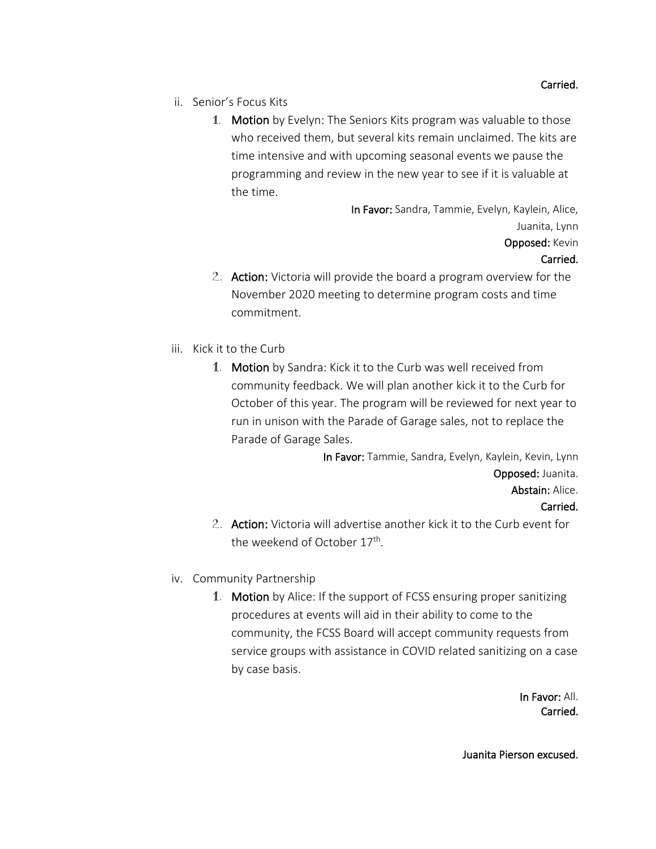- ii. Senior's Focus Kits
	- 1. Motion by Evelyn: The Seniors Kits program was valuable to those who received them, but several kits remain unclaimed. The kits are time intensive and with upcoming seasonal events we pause the programming and review in the new year to see if it is valuable at the time.

In Favor: Sandra, Tammie, Evelyn, Kaylein, Alice, Juanita, Lynn Opposed: Kevin

#### Carried.

- 2. Action: Victoria will provide the board a program overview for the November 2020 meeting to determine program costs and time commitment.
- iii. Kick it to the Curb
	- 1. Motion by Sandra: Kick it to the Curb was well received from community feedback. We will plan another kick it to the Curb for October of this year. The program will be reviewed for next year to run in unison with the Parade of Garage sales, not to replace the Parade of Garage Sales.

In Favor: Tammie, Sandra, Evelyn, Kaylein, Kevin, Lynn Opposed: Juanita. Abstain: Alice. Carried.

- 2. Action: Victoria will advertise another kick it to the Curb event for the weekend of October 17<sup>th</sup>.
- iv. Community Partnership
	- 1. Motion by Alice: If the support of FCSS ensuring proper sanitizing procedures at events will aid in their ability to come to the community, the FCSS Board will accept community requests from service groups with assistance in COVID related sanitizing on a case by case basis.

In Favor: All. Carried.

Juanita Pierson excused.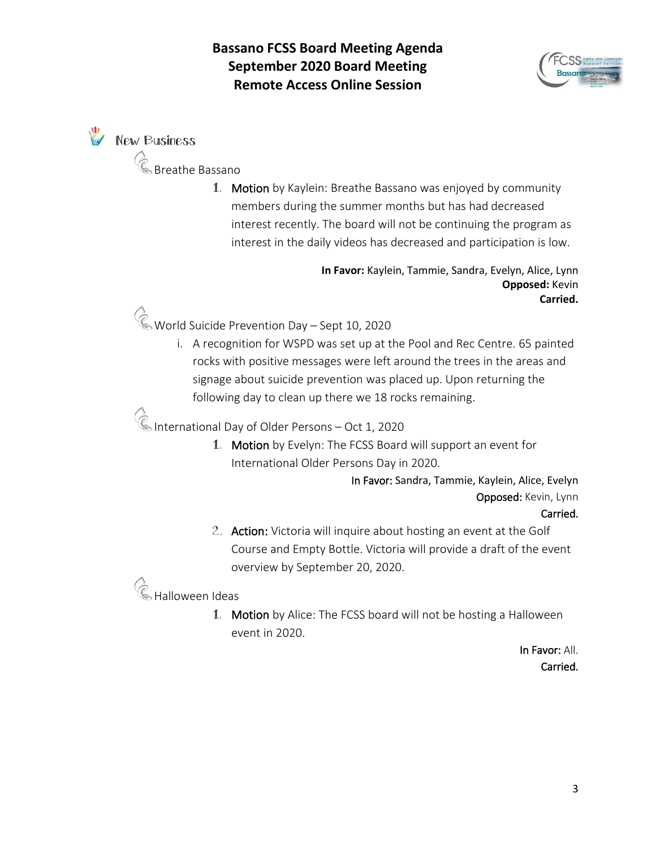

**W** New Business

Breathe Bassano

1. Motion by Kaylein: Breathe Bassano was enjoyed by community members during the summer months but has had decreased interest recently. The board will not be continuing the program as interest in the daily videos has decreased and participation is low.

> **In Favor:** Kaylein, Tammie, Sandra, Evelyn, Alice, Lynn **Opposed:** Kevin **Carried.**

World Suicide Prevention Day – Sept 10, 2020

i. A recognition for WSPD was set up at the Pool and Rec Centre. 65 painted rocks with positive messages were left around the trees in the areas and signage about suicide prevention was placed up. Upon returning the following day to clean up there we 18 rocks remaining.

International Day of Older Persons – Oct 1, 2020

1. Motion by Evelyn: The FCSS Board will support an event for International Older Persons Day in 2020.

> In Favor: Sandra, Tammie, Kaylein, Alice, Evelyn Opposed: Kevin, Lynn Carried.

2. Action: Victoria will inquire about hosting an event at the Golf Course and Empty Bottle. Victoria will provide a draft of the event overview by September 20, 2020.

 $\mathscr{\textcircled{k}}$  Halloween Ideas

1. Motion by Alice: The FCSS board will not be hosting a Halloween event in 2020.

> In Favor: All. Carried.